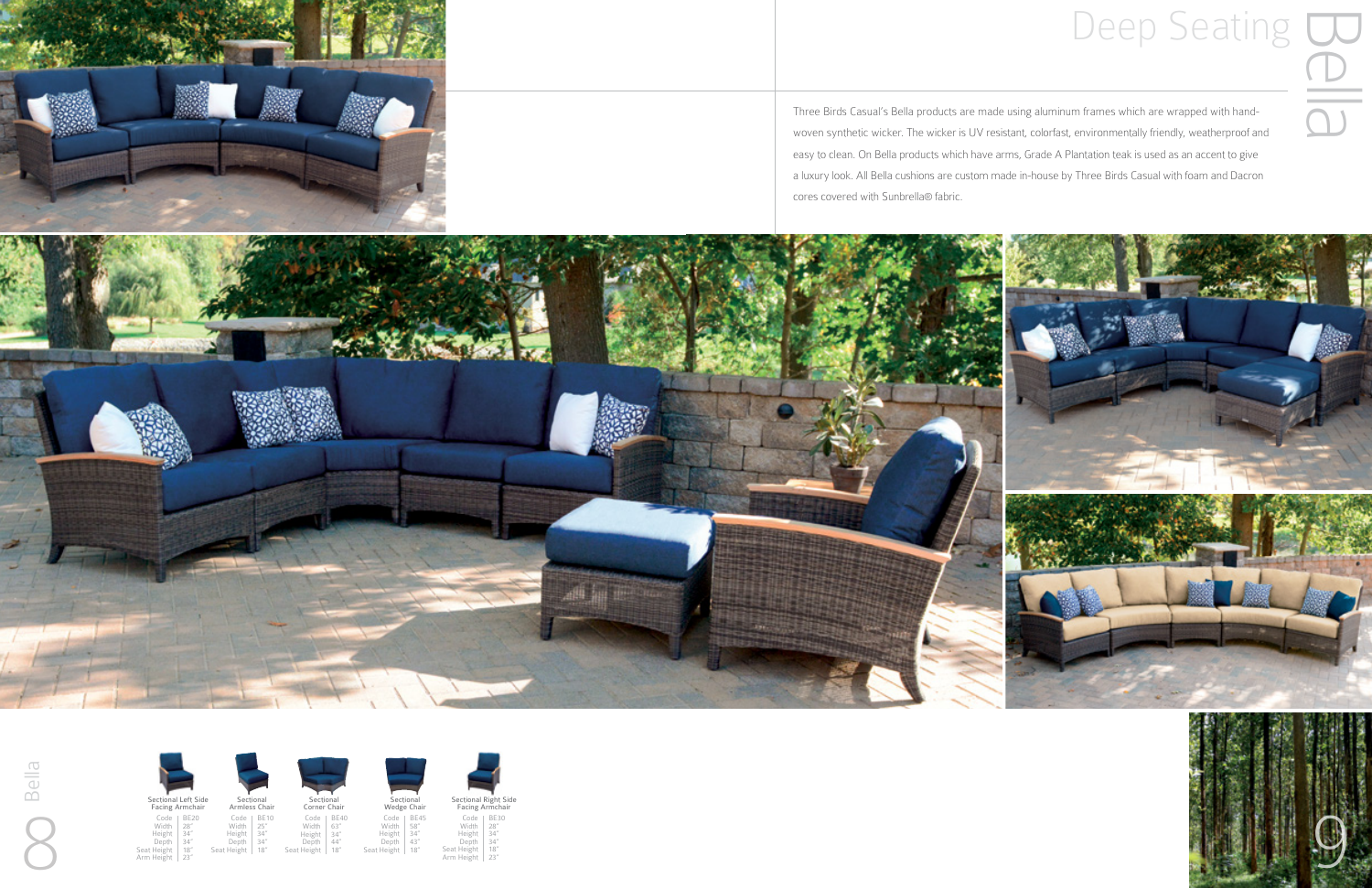

Three Birds Casual's Bella products are made using aluminum frames which are wrapped with handwoven synthetic wicker. The wicker is UV resistant, colorfast, environmentally friendly, weatherproof and easy to clean. On Bella products which have arms, Grade A Plantation teak is used as an accent to give a luxury look. All Bella cushions are custom made in-house by Three Birds Casual with foam and Dacron cores covered with Sunbrella® fabric.





BE40<br>63"<br>34"<br>44"<br>18" Sectional<br>Corner Chair Corner Chair

Sectional Left Side Facing Armchair



BE30<br>28"<br>34"<br>34"<br>18"<br>18"

Code Width Height Depth Code Width Height Depth Seat Height Arm Height

## Deep Seating<br>
Seating<br>
Seating<br>
Seating<br>
Deposition of a real of the band-<br>
Deposition are wrapped with hand-<br>
ast, environmentally friendly, weatherproof and









BE20 28" 34" 34"



Seat Height



BE10<br>25"<br>34"<br>34"<br>18"

Code Width Height Depth Seat Height

Code Width Height Depth Seat Height